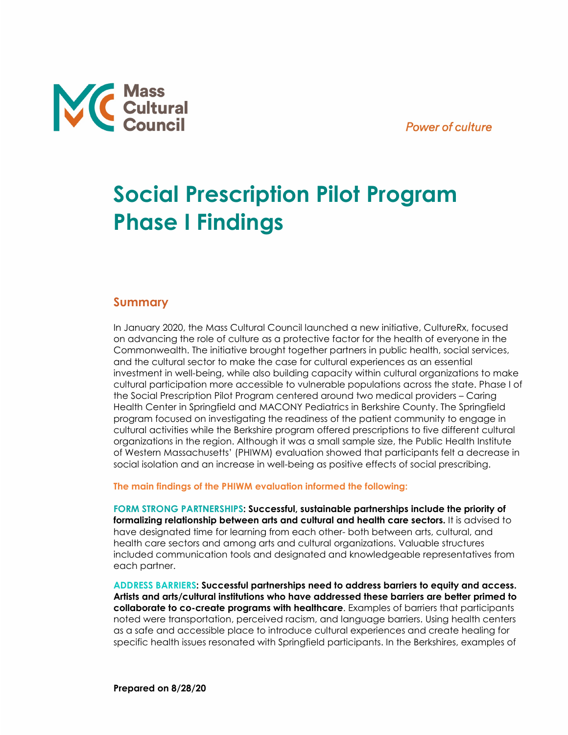

## **Social Prescription Pilot Program Phase I Findings**

## **Summary**

In January 2020, the Mass Cultural Council launched a new initiative, CultureRx, focused on advancing the role of culture as a protective factor for the health of everyone in the Commonwealth. The initiative brought together partners in public health, social services, and the cultural sector to make the case for cultural experiences as an essential investment in well-being, while also building capacity within cultural organizations to make cultural participation more accessible to vulnerable populations across the state. Phase I of the Social Prescription Pilot Program centered around two medical providers – Caring Health Center in Springfield and MACONY Pediatrics in Berkshire County. The Springfield program focused on investigating the readiness of the patient community to engage in cultural activities while the Berkshire program offered prescriptions to five different cultural organizations in the region. Although it was a small sample size, the Public Health Institute of Western Massachusetts' (PHIWM) evaluation showed that participants felt a decrease in social isolation and an increase in well-being as positive effects of social prescribing.

**The main findings of the PHIWM evaluation informed the following:**

**FORM STRONG PARTNERSHIPS: Successful, sustainable partnerships include the priority of formalizing relationship between arts and cultural and health care sectors.** It is advised to have designated time for learning from each other- both between arts, cultural, and health care sectors and among arts and cultural organizations. Valuable structures included communication tools and designated and knowledgeable representatives from each partner.

**ADDRESS BARRIERS: Successful partnerships need to address barriers to equity and access. Artists and arts/cultural institutions who have addressed these barriers are better primed to collaborate to co-create programs with healthcare**. Examples of barriers that participants noted were transportation, perceived racism, and language barriers. Using health centers as a safe and accessible place to introduce cultural experiences and create healing for specific health issues resonated with Springfield participants. In the Berkshires, examples of